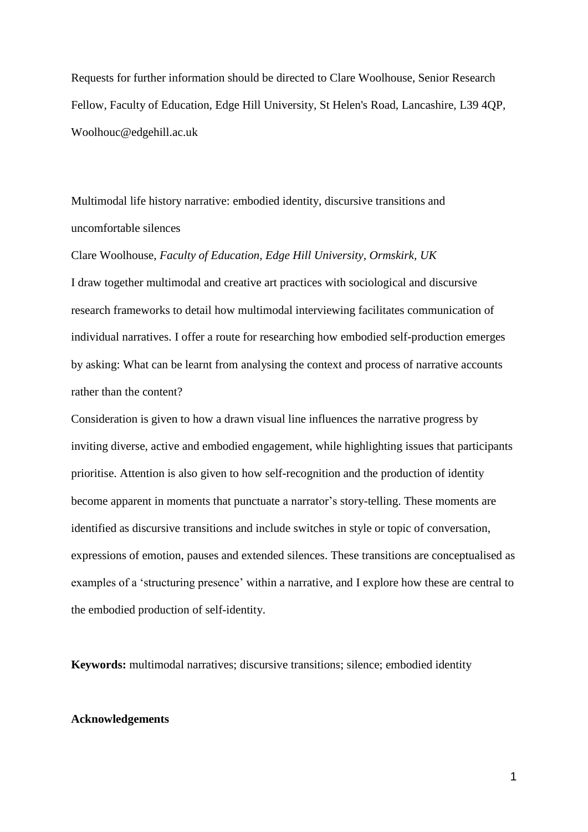Requests for further information should be directed to Clare Woolhouse, Senior Research Fellow, Faculty of Education, Edge Hill University, St Helen's Road, Lancashire, L39 4QP, [Woolhouc@edgehill.ac.uk](mailto:Woolhouc@edgehill.ac.uk)

Multimodal life history narrative: embodied identity, discursive transitions and uncomfortable silences

Clare Woolhouse, *Faculty of Education, Edge Hill University, Ormskirk, UK* I draw together multimodal and creative art practices with sociological and discursive research frameworks to detail how multimodal interviewing facilitates communication of individual narratives. I offer a route for researching how embodied self-production emerges by asking: What can be learnt from analysing the context and process of narrative accounts rather than the content?

Consideration is given to how a drawn visual line influences the narrative progress by inviting diverse, active and embodied engagement, while highlighting issues that participants prioritise. Attention is also given to how self-recognition and the production of identity become apparent in moments that punctuate a narrator's story-telling. These moments are identified as discursive transitions and include switches in style or topic of conversation, expressions of emotion, pauses and extended silences. These transitions are conceptualised as examples of a 'structuring presence' within a narrative, and I explore how these are central to the embodied production of self-identity.

**Keywords:** multimodal narratives; discursive transitions; silence; embodied identity

#### **Acknowledgements**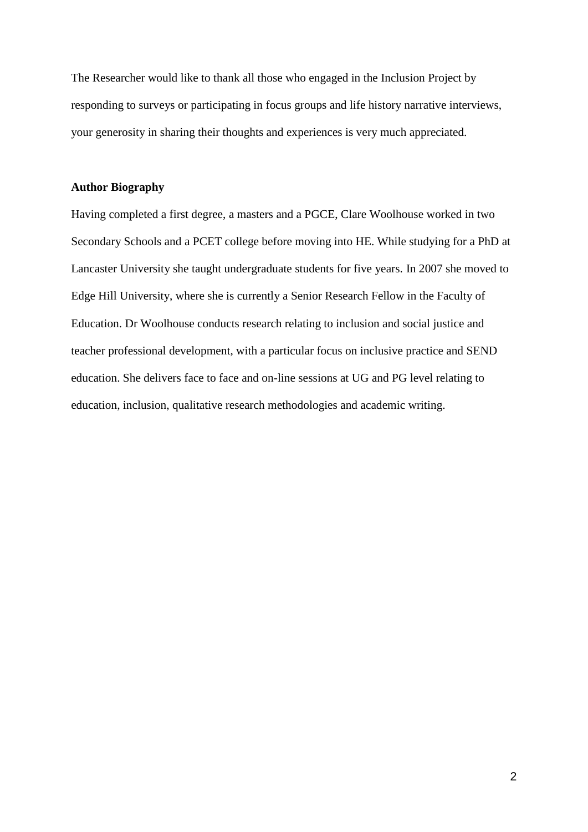The Researcher would like to thank all those who engaged in the Inclusion Project by responding to surveys or participating in focus groups and life history narrative interviews, your generosity in sharing their thoughts and experiences is very much appreciated.

## **Author Biography**

Having completed a first degree, a masters and a PGCE, Clare Woolhouse worked in two Secondary Schools and a PCET college before moving into HE. While studying for a PhD at Lancaster University she taught undergraduate students for five years. In 2007 she moved to Edge Hill University, where she is currently a Senior Research Fellow in the Faculty of Education. Dr Woolhouse conducts research relating to inclusion and social justice and teacher professional development, with a particular focus on inclusive practice and SEND education. She delivers face to face and on-line sessions at UG and PG level relating to education, inclusion, qualitative research methodologies and academic writing.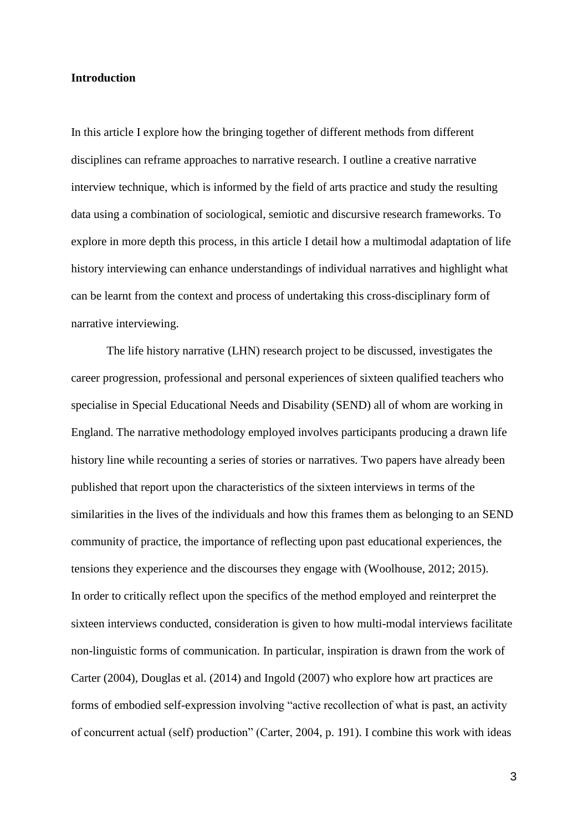## **Introduction**

In this article I explore how the bringing together of different methods from different disciplines can reframe approaches to narrative research. I outline a creative narrative interview technique, which is informed by the field of arts practice and study the resulting data using a combination of sociological, semiotic and discursive research frameworks. To explore in more depth this process, in this article I detail how a multimodal adaptation of life history interviewing can enhance understandings of individual narratives and highlight what can be learnt from the context and process of undertaking this cross-disciplinary form of narrative interviewing.

The life history narrative (LHN) research project to be discussed, investigates the career progression, professional and personal experiences of sixteen qualified teachers who specialise in Special Educational Needs and Disability (SEND) all of whom are working in England. The narrative methodology employed involves participants producing a drawn life history line while recounting a series of stories or narratives. Two papers have already been published that report upon the characteristics of the sixteen interviews in terms of the similarities in the lives of the individuals and how this frames them as belonging to an SEND community of practice, the importance of reflecting upon past educational experiences, the tensions they experience and the discourses they engage with (Woolhouse, 2012; 2015). In order to critically reflect upon the specifics of the method employed and reinterpret the sixteen interviews conducted, consideration is given to how multi-modal interviews facilitate non-linguistic forms of communication. In particular, inspiration is drawn from the work of Carter (2004), Douglas et al. (2014) and Ingold (2007) who explore how art practices are forms of embodied self-expression involving "active recollection of what is past, an activity of concurrent actual (self) production" (Carter, 2004, p. 191). I combine this work with ideas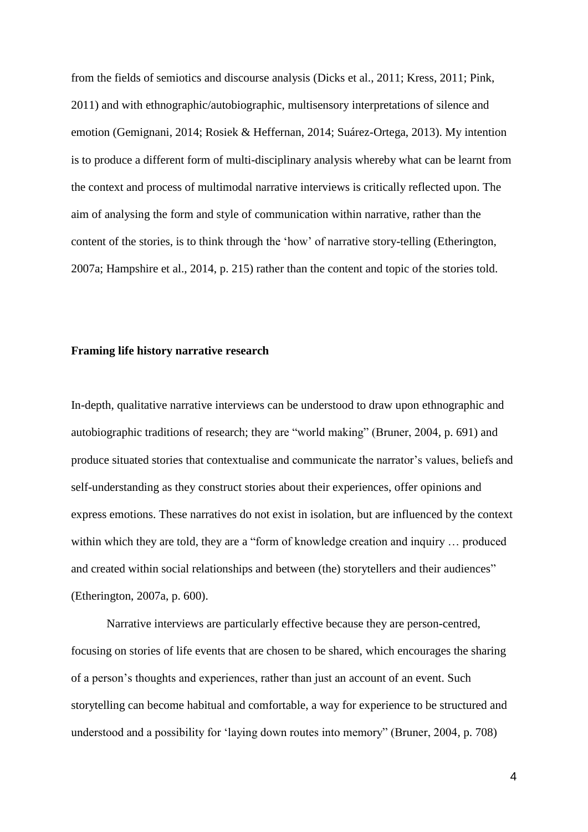from the fields of semiotics and discourse analysis (Dicks et al., 2011; Kress, 2011; Pink, 2011) and with ethnographic/autobiographic, multisensory interpretations of silence and emotion (Gemignani, 2014; Rosiek & Heffernan, 2014; Suárez-Ortega, 2013). My intention is to produce a different form of multi-disciplinary analysis whereby what can be learnt from the context and process of multimodal narrative interviews is critically reflected upon. The aim of analysing the form and style of communication within narrative, rather than the content of the stories, is to think through the 'how' of narrative story-telling (Etherington, 2007a; Hampshire et al., 2014, p. 215) rather than the content and topic of the stories told.

# **Framing life history narrative research**

In-depth, qualitative narrative interviews can be understood to draw upon ethnographic and autobiographic traditions of research; they are "world making" (Bruner, 2004, p. 691) and produce situated stories that contextualise and communicate the narrator's values, beliefs and self-understanding as they construct stories about their experiences, offer opinions and express emotions. These narratives do not exist in isolation, but are influenced by the context within which they are told, they are a "form of knowledge creation and inquiry … produced and created within social relationships and between (the) storytellers and their audiences" (Etherington, 2007a, p. 600).

Narrative interviews are particularly effective because they are person-centred, focusing on stories of life events that are chosen to be shared, which encourages the sharing of a person's thoughts and experiences, rather than just an account of an event. Such storytelling can become habitual and comfortable, a way for experience to be structured and understood and a possibility for 'laying down routes into memory" (Bruner, 2004, p. 708)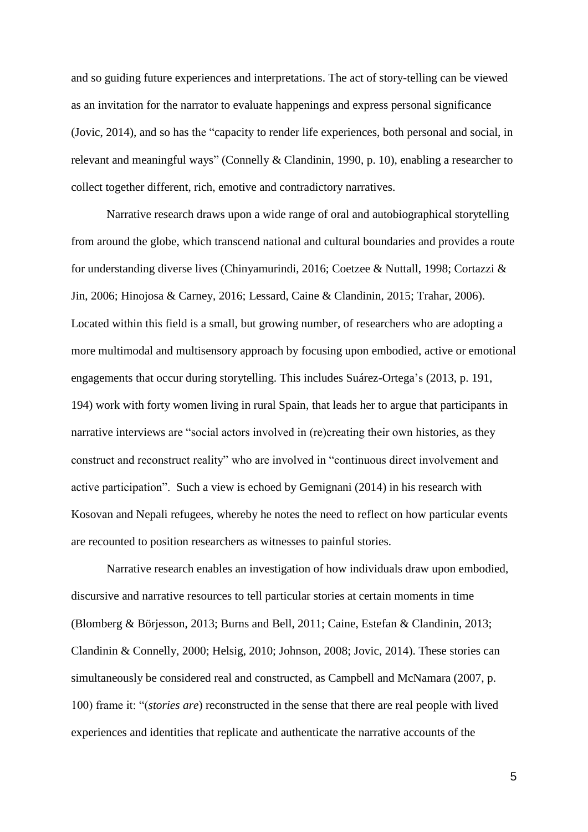and so guiding future experiences and interpretations. The act of story-telling can be viewed as an invitation for the narrator to evaluate happenings and express personal significance (Jovic, 2014), and so has the "capacity to render life experiences, both personal and social, in relevant and meaningful ways" (Connelly & Clandinin, 1990, p. 10), enabling a researcher to collect together different, rich, emotive and contradictory narratives.

Narrative research draws upon a wide range of oral and autobiographical storytelling from around the globe, which transcend national and cultural boundaries and provides a route for understanding diverse lives (Chinyamurindi, 2016; Coetzee & Nuttall, 1998; Cortazzi & Jin, 2006; Hinojosa & Carney, 2016; Lessard, Caine & Clandinin, 2015; Trahar, 2006). Located within this field is a small, but growing number, of researchers who are adopting a more multimodal and multisensory approach by focusing upon embodied, active or emotional engagements that occur during storytelling. This includes Suárez-Ortega's (2013, p. 191, 194) work with forty women living in rural Spain, that leads her to argue that participants in narrative interviews are "social actors involved in (re)creating their own histories, as they construct and reconstruct reality" who are involved in "continuous direct involvement and active participation". Such a view is echoed by Gemignani (2014) in his research with Kosovan and Nepali refugees, whereby he notes the need to reflect on how particular events are recounted to position researchers as witnesses to painful stories.

Narrative research enables an investigation of how individuals draw upon embodied, discursive and narrative resources to tell particular stories at certain moments in time (Blomberg & Börjesson, 2013; Burns and Bell, 2011; Caine, Estefan & Clandinin, 2013; Clandinin & Connelly, 2000; Helsig, 2010; Johnson, 2008; Jovic, 2014). These stories can simultaneously be considered real and constructed, as Campbell and McNamara (2007, p. 100) frame it: "(*stories are*) reconstructed in the sense that there are real people with lived experiences and identities that replicate and authenticate the narrative accounts of the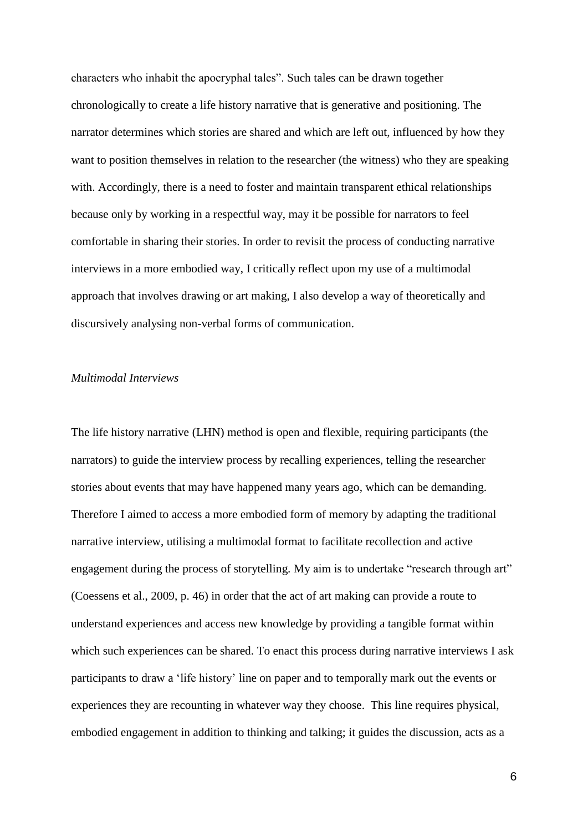characters who inhabit the apocryphal tales". Such tales can be drawn together chronologically to create a life history narrative that is generative and positioning. The narrator determines which stories are shared and which are left out, influenced by how they want to position themselves in relation to the researcher (the witness) who they are speaking with. Accordingly, there is a need to foster and maintain transparent ethical relationships because only by working in a respectful way, may it be possible for narrators to feel comfortable in sharing their stories. In order to revisit the process of conducting narrative interviews in a more embodied way, I critically reflect upon my use of a multimodal approach that involves drawing or art making, I also develop a way of theoretically and discursively analysing non-verbal forms of communication.

#### *Multimodal Interviews*

The life history narrative (LHN) method is open and flexible, requiring participants (the narrators) to guide the interview process by recalling experiences, telling the researcher stories about events that may have happened many years ago, which can be demanding. Therefore I aimed to access a more embodied form of memory by adapting the traditional narrative interview, utilising a multimodal format to facilitate recollection and active engagement during the process of storytelling. My aim is to undertake "research through art" (Coessens et al., 2009, p. 46) in order that the act of art making can provide a route to understand experiences and access new knowledge by providing a tangible format within which such experiences can be shared. To enact this process during narrative interviews I ask participants to draw a 'life history' line on paper and to temporally mark out the events or experiences they are recounting in whatever way they choose. This line requires physical, embodied engagement in addition to thinking and talking; it guides the discussion, acts as a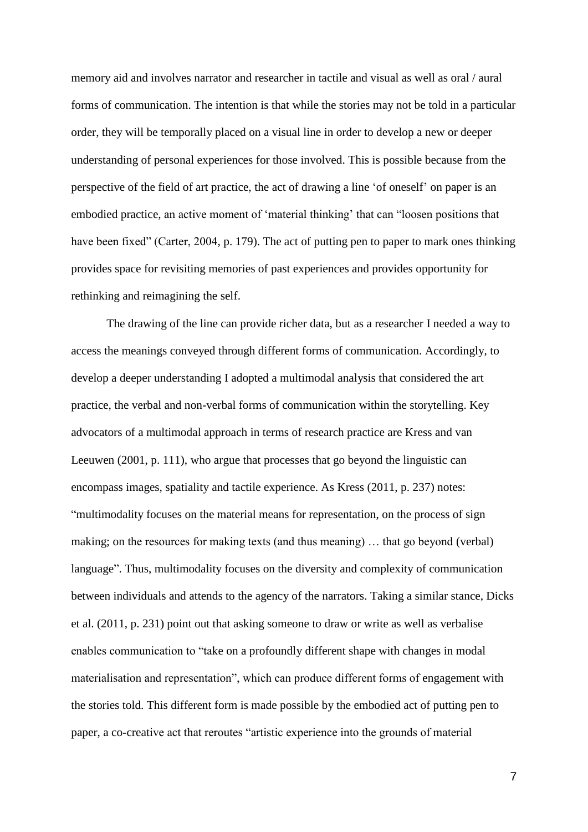memory aid and involves narrator and researcher in tactile and visual as well as oral / aural forms of communication. The intention is that while the stories may not be told in a particular order, they will be temporally placed on a visual line in order to develop a new or deeper understanding of personal experiences for those involved. This is possible because from the perspective of the field of art practice, the act of drawing a line 'of oneself' on paper is an embodied practice, an active moment of 'material thinking' that can "loosen positions that have been fixed" (Carter, 2004, p. 179). The act of putting pen to paper to mark ones thinking provides space for revisiting memories of past experiences and provides opportunity for rethinking and reimagining the self.

The drawing of the line can provide richer data, but as a researcher I needed a way to access the meanings conveyed through different forms of communication. Accordingly, to develop a deeper understanding I adopted a multimodal analysis that considered the art practice, the verbal and non-verbal forms of communication within the storytelling. Key advocators of a multimodal approach in terms of research practice are Kress and van Leeuwen (2001, p. 111), who argue that processes that go beyond the linguistic can encompass images, spatiality and tactile experience. As Kress (2011, p. 237) notes: "multimodality focuses on the material means for representation, on the process of sign making; on the resources for making texts (and thus meaning) … that go beyond (verbal) language". Thus, multimodality focuses on the diversity and complexity of communication between individuals and attends to the agency of the narrators. Taking a similar stance, Dicks et al. (2011, p. 231) point out that asking someone to draw or write as well as verbalise enables communication to "take on a profoundly different shape with changes in modal materialisation and representation", which can produce different forms of engagement with the stories told. This different form is made possible by the embodied act of putting pen to paper, a co-creative act that reroutes "artistic experience into the grounds of material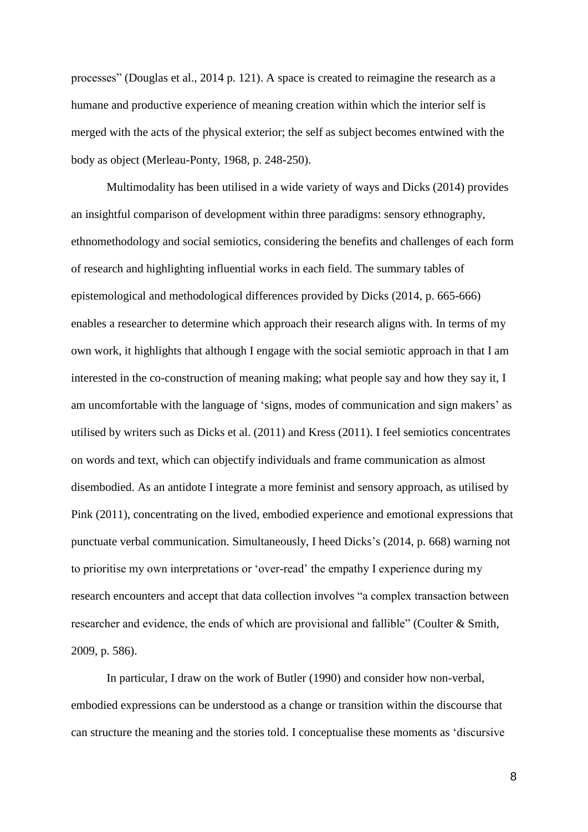processes" (Douglas et al., 2014 p. 121). A space is created to reimagine the research as a humane and productive experience of meaning creation within which the interior self is merged with the acts of the physical exterior; the self as subject becomes entwined with the body as object (Merleau-Ponty, 1968, p. 248-250).

Multimodality has been utilised in a wide variety of ways and Dicks (2014) provides an insightful comparison of development within three paradigms: sensory ethnography, ethnomethodology and social semiotics, considering the benefits and challenges of each form of research and highlighting influential works in each field. The summary tables of epistemological and methodological differences provided by Dicks (2014, p. 665-666) enables a researcher to determine which approach their research aligns with. In terms of my own work, it highlights that although I engage with the social semiotic approach in that I am interested in the co-construction of meaning making; what people say and how they say it, I am uncomfortable with the language of 'signs, modes of communication and sign makers' as utilised by writers such as Dicks et al. (2011) and Kress (2011). I feel semiotics concentrates on words and text, which can objectify individuals and frame communication as almost disembodied. As an antidote I integrate a more feminist and sensory approach, as utilised by Pink (2011), concentrating on the lived, embodied experience and emotional expressions that punctuate verbal communication. Simultaneously, I heed Dicks's (2014, p. 668) warning not to prioritise my own interpretations or 'over-read' the empathy I experience during my research encounters and accept that data collection involves "a complex transaction between researcher and evidence, the ends of which are provisional and fallible" (Coulter & Smith, 2009, p. 586).

In particular, I draw on the work of Butler (1990) and consider how non-verbal, embodied expressions can be understood as a change or transition within the discourse that can structure the meaning and the stories told. I conceptualise these moments as 'discursive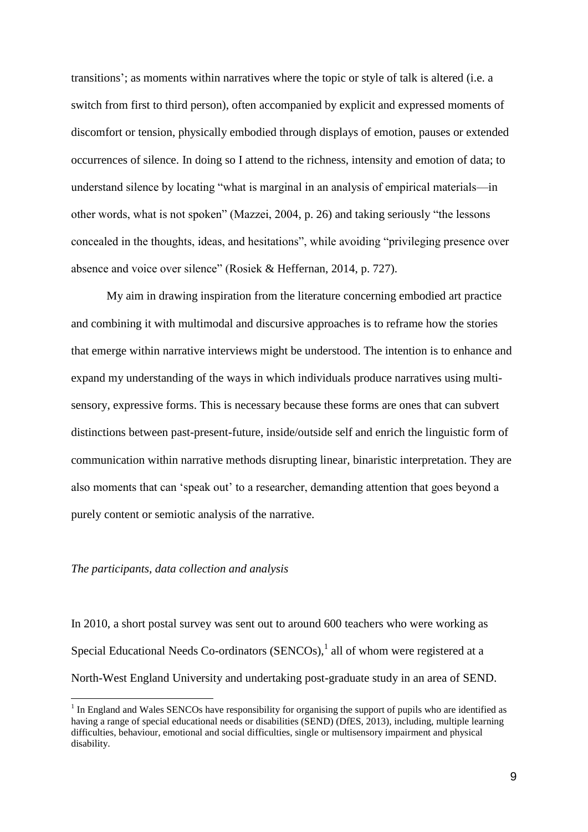transitions'; as moments within narratives where the topic or style of talk is altered (i.e. a switch from first to third person), often accompanied by explicit and expressed moments of discomfort or tension, physically embodied through displays of emotion, pauses or extended occurrences of silence. In doing so I attend to the richness, intensity and emotion of data; to understand silence by locating "what is marginal in an analysis of empirical materials—in other words, what is not spoken" (Mazzei, 2004, p. 26) and taking seriously "the lessons concealed in the thoughts, ideas, and hesitations", while avoiding "privileging presence over absence and voice over silence" (Rosiek & Heffernan, 2014, p. 727).

My aim in drawing inspiration from the literature concerning embodied art practice and combining it with multimodal and discursive approaches is to reframe how the stories that emerge within narrative interviews might be understood. The intention is to enhance and expand my understanding of the ways in which individuals produce narratives using multisensory, expressive forms. This is necessary because these forms are ones that can subvert distinctions between past-present-future, inside/outside self and enrich the linguistic form of communication within narrative methods disrupting linear, binaristic interpretation. They are also moments that can 'speak out' to a researcher, demanding attention that goes beyond a purely content or semiotic analysis of the narrative.

# *The participants, data collection and analysis*

1

In 2010, a short postal survey was sent out to around 600 teachers who were working as Special Educational Needs Co-ordinators  $(SENCOs)$ ,<sup>1</sup> all of whom were registered at a North-West England University and undertaking post-graduate study in an area of SEND.

<sup>&</sup>lt;sup>1</sup> In England and Wales SENCOs have responsibility for organising the support of pupils who are identified as having a range of special educational needs or disabilities (SEND) (DfES, 2013), including, multiple learning difficulties, behaviour, emotional and social difficulties, single or multisensory impairment and physical disability.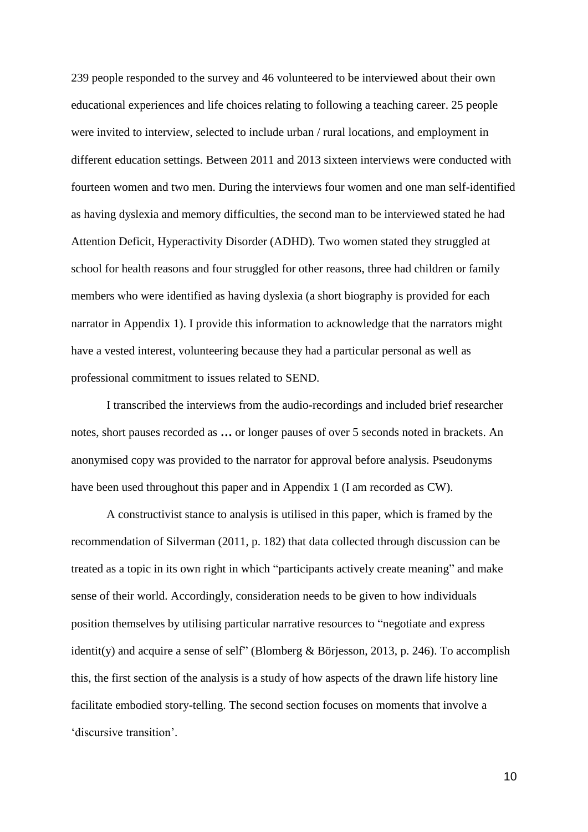239 people responded to the survey and 46 volunteered to be interviewed about their own educational experiences and life choices relating to following a teaching career. 25 people were invited to interview, selected to include urban / rural locations, and employment in different education settings. Between 2011 and 2013 sixteen interviews were conducted with fourteen women and two men. During the interviews four women and one man self-identified as having dyslexia and memory difficulties, the second man to be interviewed stated he had Attention Deficit, Hyperactivity Disorder (ADHD). Two women stated they struggled at school for health reasons and four struggled for other reasons, three had children or family members who were identified as having dyslexia (a short biography is provided for each narrator in Appendix 1). I provide this information to acknowledge that the narrators might have a vested interest, volunteering because they had a particular personal as well as professional commitment to issues related to SEND.

I transcribed the interviews from the audio-recordings and included brief researcher notes, short pauses recorded as **…** or longer pauses of over 5 seconds noted in brackets. An anonymised copy was provided to the narrator for approval before analysis. Pseudonyms have been used throughout this paper and in Appendix 1 (I am recorded as CW).

A constructivist stance to analysis is utilised in this paper, which is framed by the recommendation of Silverman (2011, p. 182) that data collected through discussion can be treated as a topic in its own right in which "participants actively create meaning" and make sense of their world. Accordingly, consideration needs to be given to how individuals position themselves by utilising particular narrative resources to "negotiate and express identit(y) and acquire a sense of self" (Blomberg & Börjesson, 2013, p. 246). To accomplish this, the first section of the analysis is a study of how aspects of the drawn life history line facilitate embodied story-telling. The second section focuses on moments that involve a 'discursive transition'.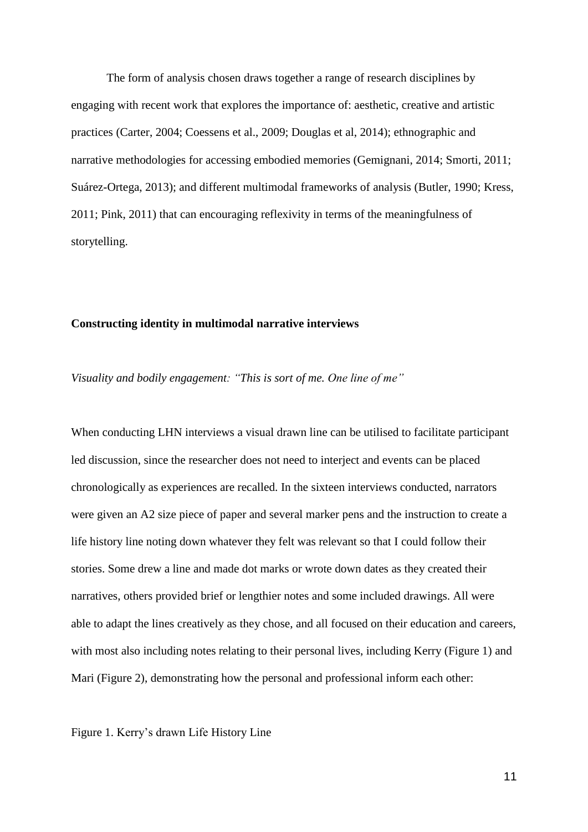The form of analysis chosen draws together a range of research disciplines by engaging with recent work that explores the importance of: aesthetic, creative and artistic practices (Carter, 2004; Coessens et al., 2009; Douglas et al, 2014); ethnographic and narrative methodologies for accessing embodied memories (Gemignani, 2014; Smorti, 2011; Suárez-Ortega, 2013); and different multimodal frameworks of analysis (Butler, 1990; Kress, 2011; Pink, 2011) that can encouraging reflexivity in terms of the meaningfulness of storytelling.

### **Constructing identity in multimodal narrative interviews**

*Visuality and bodily engagement: "This is sort of me. One line of me"*

When conducting LHN interviews a visual drawn line can be utilised to facilitate participant led discussion, since the researcher does not need to interject and events can be placed chronologically as experiences are recalled. In the sixteen interviews conducted, narrators were given an A2 size piece of paper and several marker pens and the instruction to create a life history line noting down whatever they felt was relevant so that I could follow their stories. Some drew a line and made dot marks or wrote down dates as they created their narratives, others provided brief or lengthier notes and some included drawings. All were able to adapt the lines creatively as they chose, and all focused on their education and careers, with most also including notes relating to their personal lives, including Kerry (Figure 1) and Mari (Figure 2), demonstrating how the personal and professional inform each other:

Figure 1. Kerry's drawn Life History Line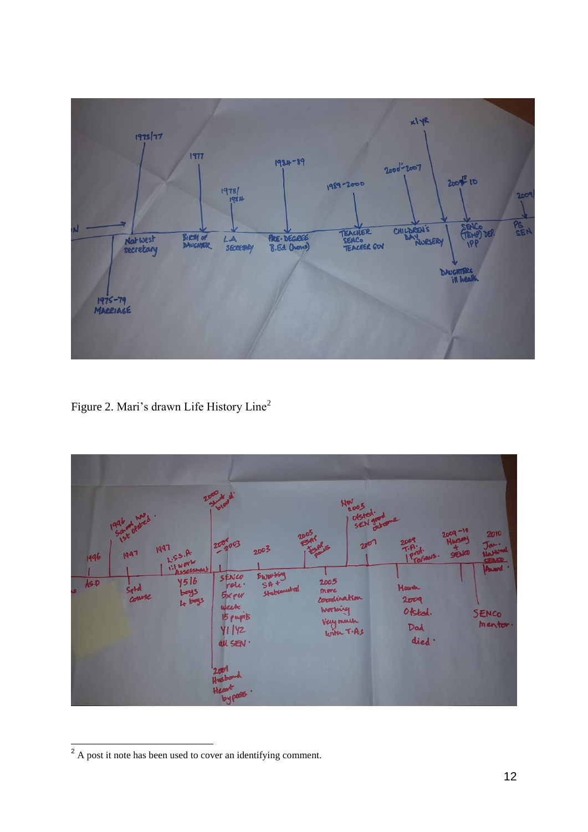

Figure 2. Mari's drawn Life History Line<sup>2</sup>



 $\overline{a}$  $2^{2}$  A post it note has been used to cover an identifying comment.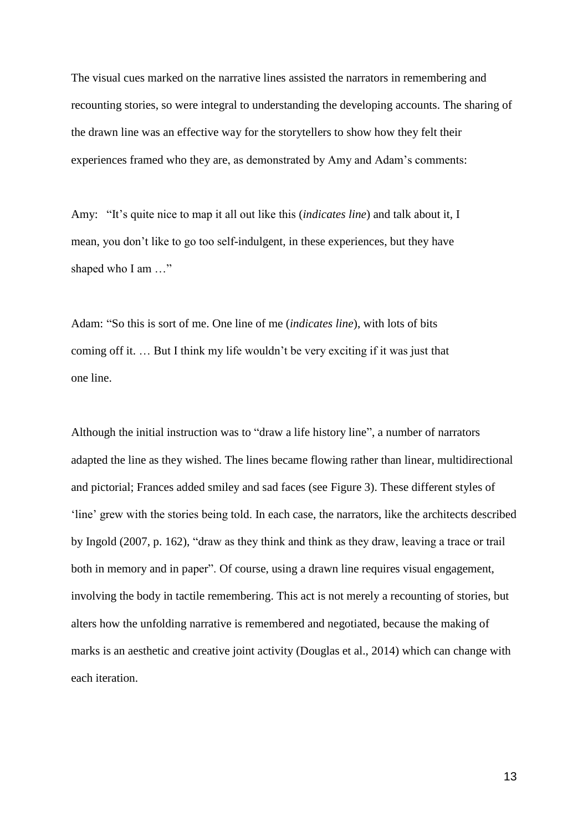The visual cues marked on the narrative lines assisted the narrators in remembering and recounting stories, so were integral to understanding the developing accounts. The sharing of the drawn line was an effective way for the storytellers to show how they felt their experiences framed who they are, as demonstrated by Amy and Adam's comments:

Amy: "It's quite nice to map it all out like this (*indicates line*) and talk about it, I mean, you don't like to go too self-indulgent, in these experiences, but they have shaped who I am …"

Adam: "So this is sort of me. One line of me (*indicates line*), with lots of bits coming off it. … But I think my life wouldn't be very exciting if it was just that one line.

Although the initial instruction was to "draw a life history line", a number of narrators adapted the line as they wished. The lines became flowing rather than linear, multidirectional and pictorial; Frances added smiley and sad faces (see Figure 3). These different styles of 'line' grew with the stories being told. In each case, the narrators, like the architects described by Ingold (2007, p. 162), "draw as they think and think as they draw, leaving a trace or trail both in memory and in paper". Of course, using a drawn line requires visual engagement, involving the body in tactile remembering. This act is not merely a recounting of stories, but alters how the unfolding narrative is remembered and negotiated, because the making of marks is an aesthetic and creative joint activity (Douglas et al., 2014) which can change with each iteration.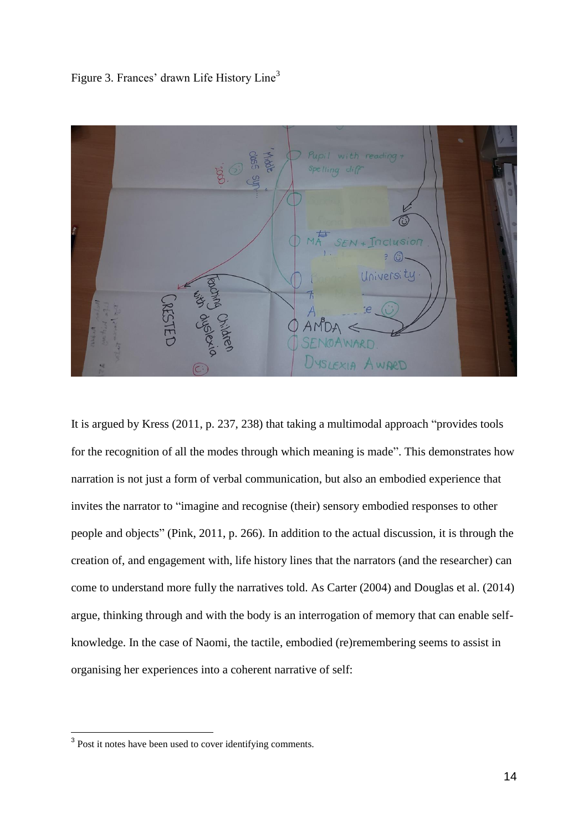# Figure 3. Frances' drawn Life History Line<sup>3</sup>



It is argued by Kress (2011, p. 237, 238) that taking a multimodal approach "provides tools for the recognition of all the modes through which meaning is made". This demonstrates how narration is not just a form of verbal communication, but also an embodied experience that invites the narrator to "imagine and recognise (their) sensory embodied responses to other people and objects" (Pink, 2011, p. 266). In addition to the actual discussion, it is through the creation of, and engagement with, life history lines that the narrators (and the researcher) can come to understand more fully the narratives told. As Carter (2004) and Douglas et al. (2014) argue, thinking through and with the body is an interrogation of memory that can enable selfknowledge. In the case of Naomi, the tactile, embodied (re)remembering seems to assist in organising her experiences into a coherent narrative of self:

<sup>&</sup>lt;sup>3</sup> Post it notes have been used to cover identifying comments.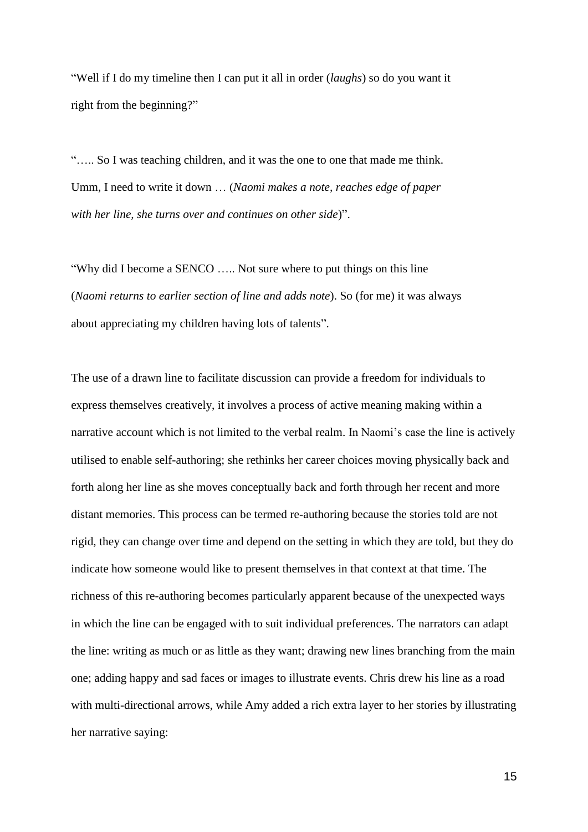"Well if I do my timeline then I can put it all in order (*laughs*) so do you want it right from the beginning?"

"….. So I was teaching children, and it was the one to one that made me think. Umm, I need to write it down … (*Naomi makes a note, reaches edge of paper with her line, she turns over and continues on other side*)".

"Why did I become a SENCO ….. Not sure where to put things on this line (*Naomi returns to earlier section of line and adds note*). So (for me) it was always about appreciating my children having lots of talents".

The use of a drawn line to facilitate discussion can provide a freedom for individuals to express themselves creatively, it involves a process of active meaning making within a narrative account which is not limited to the verbal realm. In Naomi's case the line is actively utilised to enable self-authoring; she rethinks her career choices moving physically back and forth along her line as she moves conceptually back and forth through her recent and more distant memories. This process can be termed re-authoring because the stories told are not rigid, they can change over time and depend on the setting in which they are told, but they do indicate how someone would like to present themselves in that context at that time. The richness of this re-authoring becomes particularly apparent because of the unexpected ways in which the line can be engaged with to suit individual preferences. The narrators can adapt the line: writing as much or as little as they want; drawing new lines branching from the main one; adding happy and sad faces or images to illustrate events. Chris drew his line as a road with multi-directional arrows, while Amy added a rich extra layer to her stories by illustrating her narrative saying: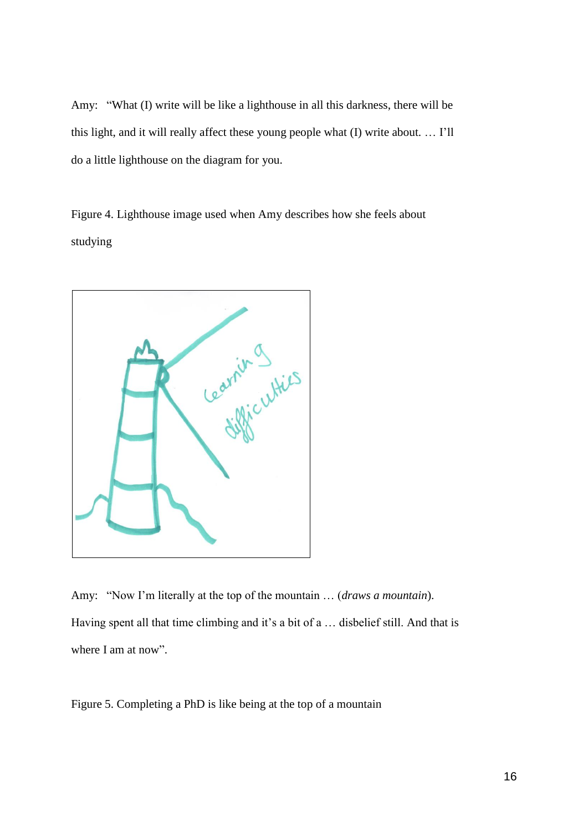Amy: "What (I) write will be like a lighthouse in all this darkness, there will be this light, and it will really affect these young people what (I) write about. … I'll do a little lighthouse on the diagram for you.

Figure 4. Lighthouse image used when Amy describes how she feels about studying



Amy: "Now I'm literally at the top of the mountain … (*draws a mountain*). Having spent all that time climbing and it's a bit of a … disbelief still. And that is where I am at now".

Figure 5. Completing a PhD is like being at the top of a mountain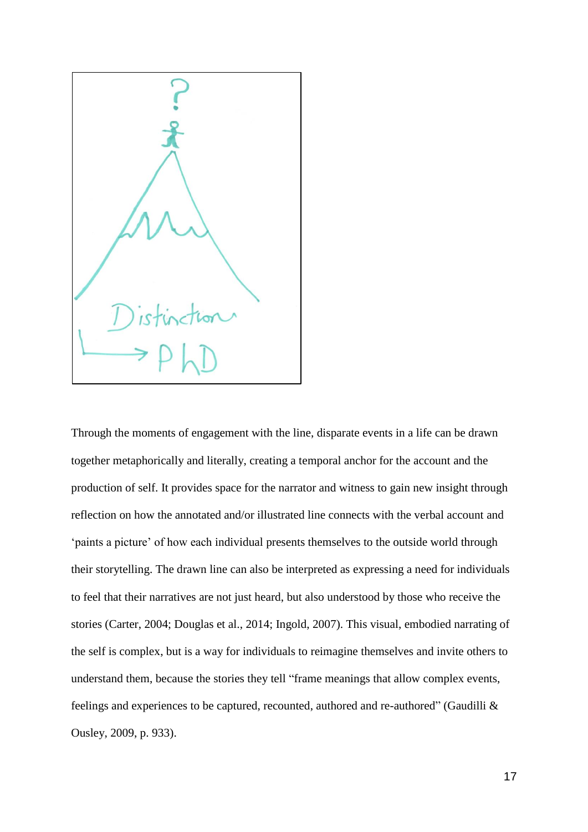

Through the moments of engagement with the line, disparate events in a life can be drawn together metaphorically and literally, creating a temporal anchor for the account and the production of self. It provides space for the narrator and witness to gain new insight through reflection on how the annotated and/or illustrated line connects with the verbal account and 'paints a picture' of how each individual presents themselves to the outside world through their storytelling. The drawn line can also be interpreted as expressing a need for individuals to feel that their narratives are not just heard, but also understood by those who receive the stories (Carter, 2004; Douglas et al., 2014; Ingold, 2007). This visual, embodied narrating of the self is complex, but is a way for individuals to reimagine themselves and invite others to understand them, because the stories they tell "frame meanings that allow complex events, feelings and experiences to be captured, recounted, authored and re-authored" (Gaudilli & Ousley, 2009, p. 933).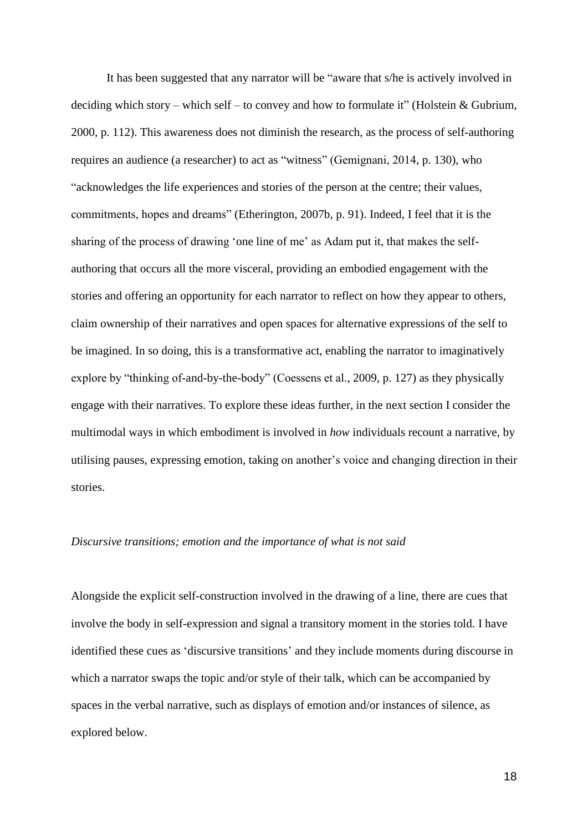It has been suggested that any narrator will be "aware that s/he is actively involved in deciding which story – which self – to convey and how to formulate it" (Holstein & Gubrium, 2000, p. 112). This awareness does not diminish the research, as the process of self-authoring requires an audience (a researcher) to act as "witness" (Gemignani, 2014, p. 130), who "acknowledges the life experiences and stories of the person at the centre; their values, commitments, hopes and dreams" (Etherington, 2007b, p. 91). Indeed, I feel that it is the sharing of the process of drawing 'one line of me' as Adam put it, that makes the selfauthoring that occurs all the more visceral, providing an embodied engagement with the stories and offering an opportunity for each narrator to reflect on how they appear to others, claim ownership of their narratives and open spaces for alternative expressions of the self to be imagined. In so doing, this is a transformative act, enabling the narrator to imaginatively explore by "thinking of-and-by-the-body" (Coessens et al., 2009, p. 127) as they physically engage with their narratives. To explore these ideas further, in the next section I consider the multimodal ways in which embodiment is involved in *how* individuals recount a narrative, by utilising pauses, expressing emotion, taking on another's voice and changing direction in their stories.

## *Discursive transitions; emotion and the importance of what is not said*

Alongside the explicit self-construction involved in the drawing of a line, there are cues that involve the body in self-expression and signal a transitory moment in the stories told. I have identified these cues as 'discursive transitions' and they include moments during discourse in which a narrator swaps the topic and/or style of their talk, which can be accompanied by spaces in the verbal narrative, such as displays of emotion and/or instances of silence, as explored below.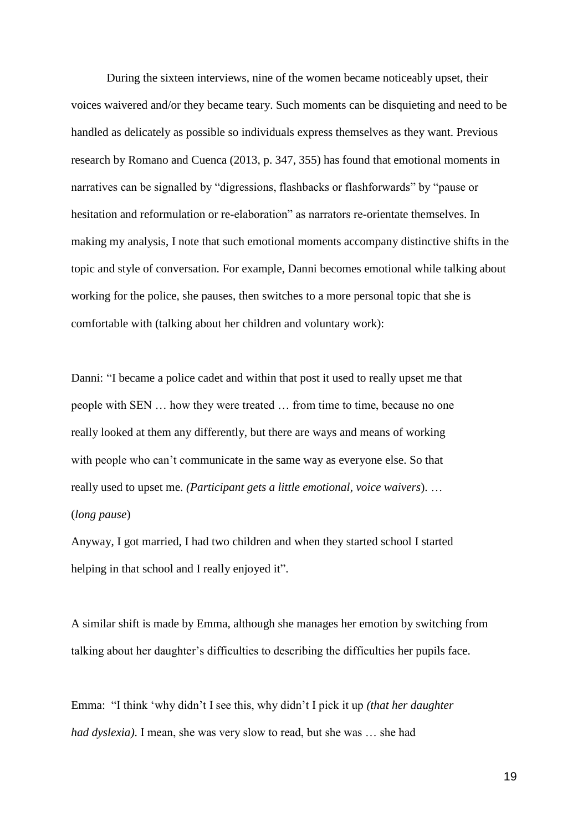During the sixteen interviews, nine of the women became noticeably upset, their voices waivered and/or they became teary. Such moments can be disquieting and need to be handled as delicately as possible so individuals express themselves as they want. Previous research by Romano and Cuenca (2013, p. 347, 355) has found that emotional moments in narratives can be signalled by "digressions, flashbacks or flashforwards" by "pause or hesitation and reformulation or re-elaboration" as narrators re-orientate themselves. In making my analysis, I note that such emotional moments accompany distinctive shifts in the topic and style of conversation. For example, Danni becomes emotional while talking about working for the police, she pauses, then switches to a more personal topic that she is comfortable with (talking about her children and voluntary work):

Danni: "I became a police cadet and within that post it used to really upset me that people with SEN … how they were treated … from time to time, because no one really looked at them any differently, but there are ways and means of working with people who can't communicate in the same way as everyone else. So that really used to upset me. *(Participant gets a little emotional, voice waivers*). … (*long pause*)

Anyway, I got married, I had two children and when they started school I started helping in that school and I really enjoyed it".

A similar shift is made by Emma, although she manages her emotion by switching from talking about her daughter's difficulties to describing the difficulties her pupils face.

Emma: "I think 'why didn't I see this, why didn't I pick it up *(that her daughter had dyslexia)*. I mean, she was very slow to read, but she was … she had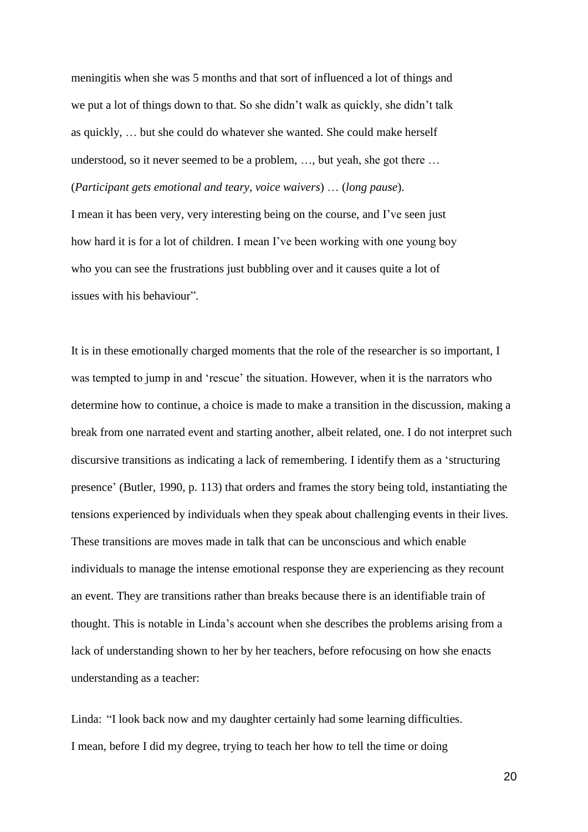meningitis when she was 5 months and that sort of influenced a lot of things and we put a lot of things down to that. So she didn't walk as quickly, she didn't talk as quickly, … but she could do whatever she wanted. She could make herself understood, so it never seemed to be a problem, …, but yeah, she got there … (*Participant gets emotional and teary, voice waivers*) … (*long pause*).

I mean it has been very, very interesting being on the course, and I've seen just how hard it is for a lot of children. I mean I've been working with one young boy who you can see the frustrations just bubbling over and it causes quite a lot of issues with his behaviour".

It is in these emotionally charged moments that the role of the researcher is so important, I was tempted to jump in and 'rescue' the situation. However, when it is the narrators who determine how to continue, a choice is made to make a transition in the discussion, making a break from one narrated event and starting another, albeit related, one. I do not interpret such discursive transitions as indicating a lack of remembering. I identify them as a 'structuring presence' (Butler, 1990, p. 113) that orders and frames the story being told, instantiating the tensions experienced by individuals when they speak about challenging events in their lives. These transitions are moves made in talk that can be unconscious and which enable individuals to manage the intense emotional response they are experiencing as they recount an event. They are transitions rather than breaks because there is an identifiable train of thought. This is notable in Linda's account when she describes the problems arising from a lack of understanding shown to her by her teachers, before refocusing on how she enacts understanding as a teacher:

Linda: "I look back now and my daughter certainly had some learning difficulties. I mean, before I did my degree, trying to teach her how to tell the time or doing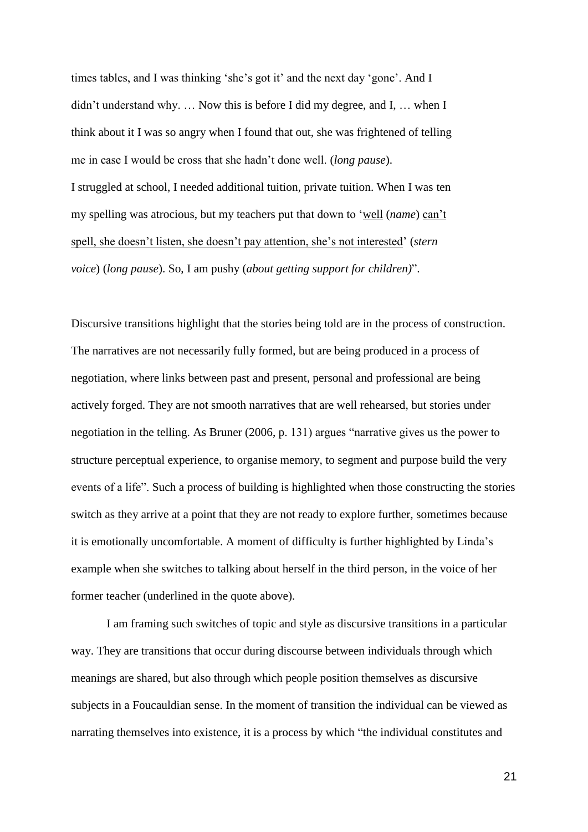times tables, and I was thinking 'she's got it' and the next day 'gone'. And I didn't understand why. … Now this is before I did my degree, and I, … when I think about it I was so angry when I found that out, she was frightened of telling me in case I would be cross that she hadn't done well. (*long pause*). I struggled at school, I needed additional tuition, private tuition. When I was ten my spelling was atrocious, but my teachers put that down to 'well (*name*) can't spell, she doesn't listen, she doesn't pay attention, she's not interested' (*stern voice*) (*long pause*). So, I am pushy (*about getting support for children)*".

Discursive transitions highlight that the stories being told are in the process of construction. The narratives are not necessarily fully formed, but are being produced in a process of negotiation, where links between past and present, personal and professional are being actively forged. They are not smooth narratives that are well rehearsed, but stories under negotiation in the telling. As Bruner (2006, p. 131) argues "narrative gives us the power to structure perceptual experience, to organise memory, to segment and purpose build the very events of a life". Such a process of building is highlighted when those constructing the stories switch as they arrive at a point that they are not ready to explore further, sometimes because it is emotionally uncomfortable. A moment of difficulty is further highlighted by Linda's example when she switches to talking about herself in the third person, in the voice of her former teacher (underlined in the quote above).

I am framing such switches of topic and style as discursive transitions in a particular way. They are transitions that occur during discourse between individuals through which meanings are shared, but also through which people position themselves as discursive subjects in a Foucauldian sense. In the moment of transition the individual can be viewed as narrating themselves into existence, it is a process by which "the individual constitutes and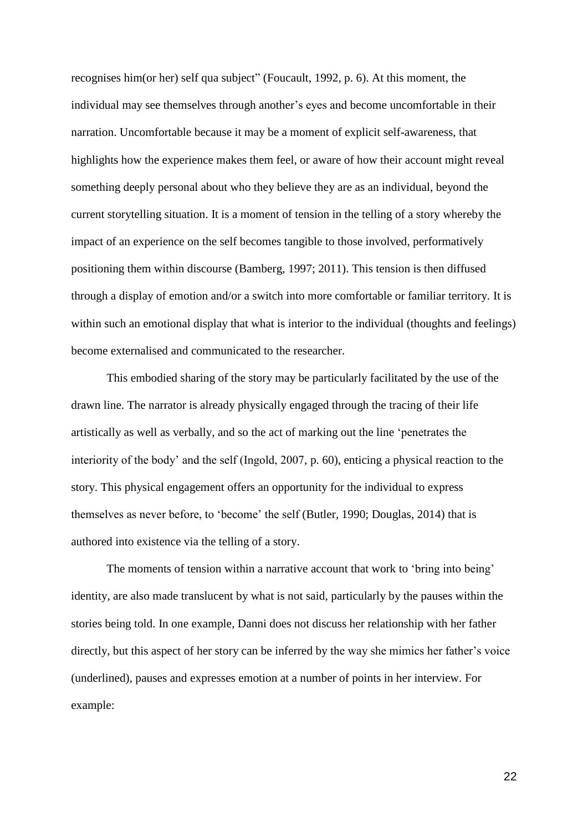recognises him(or her) self qua subject" (Foucault, 1992, p. 6). At this moment, the individual may see themselves through another's eyes and become uncomfortable in their narration. Uncomfortable because it may be a moment of explicit self-awareness, that highlights how the experience makes them feel, or aware of how their account might reveal something deeply personal about who they believe they are as an individual, beyond the current storytelling situation. It is a moment of tension in the telling of a story whereby the impact of an experience on the self becomes tangible to those involved, performatively positioning them within discourse (Bamberg, 1997; 2011). This tension is then diffused through a display of emotion and/or a switch into more comfortable or familiar territory. It is within such an emotional display that what is interior to the individual (thoughts and feelings) become externalised and communicated to the researcher.

This embodied sharing of the story may be particularly facilitated by the use of the drawn line. The narrator is already physically engaged through the tracing of their life artistically as well as verbally, and so the act of marking out the line 'penetrates the interiority of the body' and the self (Ingold, 2007, p. 60), enticing a physical reaction to the story. This physical engagement offers an opportunity for the individual to express themselves as never before, to 'become' the self (Butler, 1990; Douglas, 2014) that is authored into existence via the telling of a story.

The moments of tension within a narrative account that work to 'bring into being' identity, are also made translucent by what is not said, particularly by the pauses within the stories being told. In one example, Danni does not discuss her relationship with her father directly, but this aspect of her story can be inferred by the way she mimics her father's voice (underlined), pauses and expresses emotion at a number of points in her interview. For example: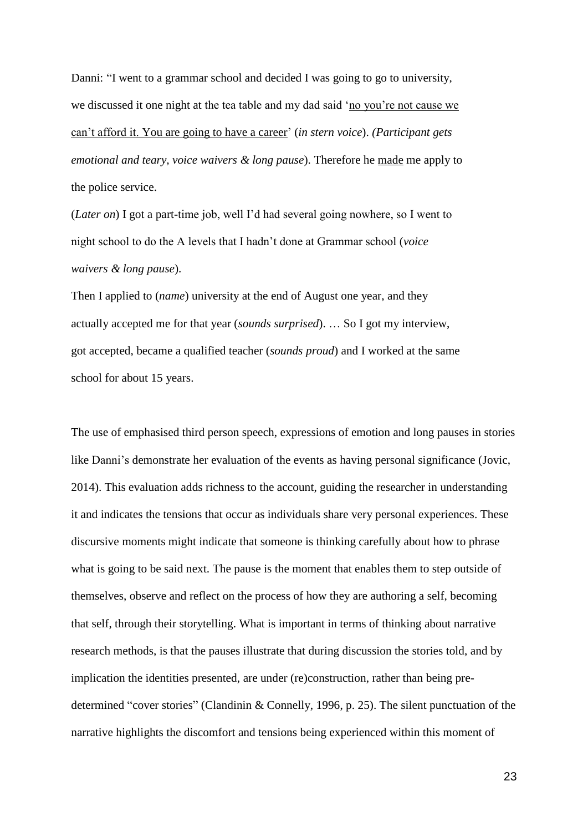Danni: "I went to a grammar school and decided I was going to go to university, we discussed it one night at the tea table and my dad said 'no you're not cause we can't afford it. You are going to have a career' (*in stern voice*). *(Participant gets emotional and teary, voice waivers & long pause*). Therefore he made me apply to the police service.

(*Later on*) I got a part-time job, well I'd had several going nowhere, so I went to night school to do the A levels that I hadn't done at Grammar school (*voice waivers & long pause*).

Then I applied to (*name*) university at the end of August one year, and they actually accepted me for that year (*sounds surprised*). … So I got my interview, got accepted, became a qualified teacher (*sounds proud*) and I worked at the same school for about 15 years.

The use of emphasised third person speech, expressions of emotion and long pauses in stories like Danni's demonstrate her evaluation of the events as having personal significance (Jovic, 2014). This evaluation adds richness to the account, guiding the researcher in understanding it and indicates the tensions that occur as individuals share very personal experiences. These discursive moments might indicate that someone is thinking carefully about how to phrase what is going to be said next. The pause is the moment that enables them to step outside of themselves, observe and reflect on the process of how they are authoring a self, becoming that self, through their storytelling. What is important in terms of thinking about narrative research methods, is that the pauses illustrate that during discussion the stories told, and by implication the identities presented, are under (re)construction, rather than being predetermined "cover stories" (Clandinin & Connelly, 1996, p. 25). The silent punctuation of the narrative highlights the discomfort and tensions being experienced within this moment of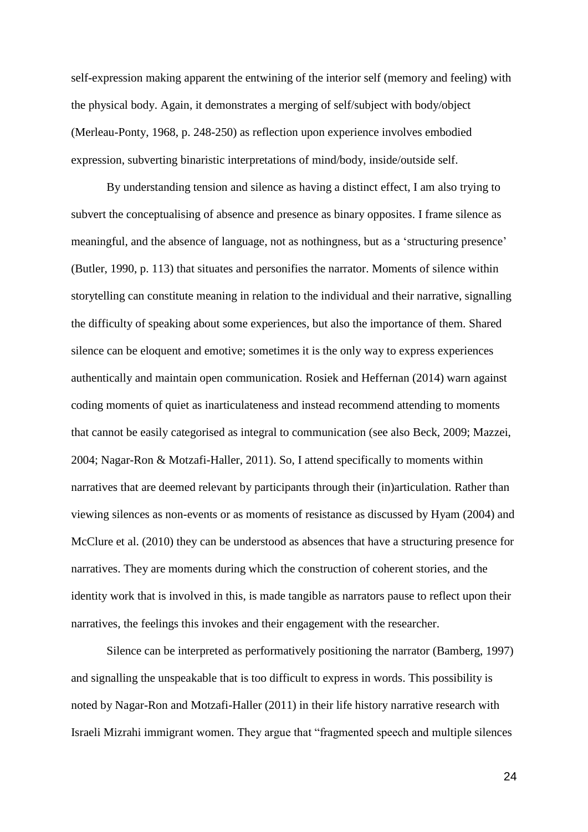self-expression making apparent the entwining of the interior self (memory and feeling) with the physical body. Again, it demonstrates a merging of self/subject with body/object (Merleau-Ponty, 1968, p. 248-250) as reflection upon experience involves embodied expression, subverting binaristic interpretations of mind/body, inside/outside self.

By understanding tension and silence as having a distinct effect, I am also trying to subvert the conceptualising of absence and presence as binary opposites. I frame silence as meaningful, and the absence of language, not as nothingness, but as a 'structuring presence' (Butler, 1990, p. 113) that situates and personifies the narrator. Moments of silence within storytelling can constitute meaning in relation to the individual and their narrative, signalling the difficulty of speaking about some experiences, but also the importance of them. Shared silence can be eloquent and emotive; sometimes it is the only way to express experiences authentically and maintain open communication. Rosiek and Heffernan (2014) warn against coding moments of quiet as inarticulateness and instead recommend attending to moments that cannot be easily categorised as integral to communication (see also Beck, 2009; Mazzei, 2004; Nagar-Ron & Motzafi-Haller, 2011). So, I attend specifically to moments within narratives that are deemed relevant by participants through their (in)articulation. Rather than viewing silences as non-events or as moments of resistance as discussed by Hyam (2004) and McClure et al. (2010) they can be understood as absences that have a structuring presence for narratives. They are moments during which the construction of coherent stories, and the identity work that is involved in this, is made tangible as narrators pause to reflect upon their narratives, the feelings this invokes and their engagement with the researcher.

Silence can be interpreted as performatively positioning the narrator (Bamberg, 1997) and signalling the unspeakable that is too difficult to express in words. This possibility is noted by Nagar-Ron and Motzafi-Haller (2011) in their life history narrative research with Israeli Mizrahi immigrant women. They argue that "fragmented speech and multiple silences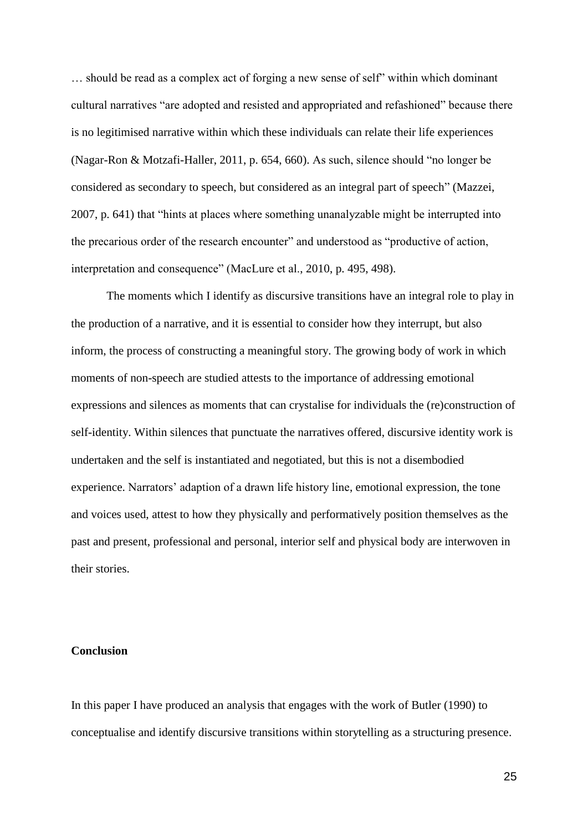… should be read as a complex act of forging a new sense of self" within which dominant cultural narratives "are adopted and resisted and appropriated and refashioned" because there is no legitimised narrative within which these individuals can relate their life experiences (Nagar-Ron & Motzafi-Haller, 2011, p. 654, 660). As such, silence should "no longer be considered as secondary to speech, but considered as an integral part of speech" (Mazzei, 2007, p. 641) that "hints at places where something unanalyzable might be interrupted into the precarious order of the research encounter" and understood as "productive of action, interpretation and consequence" (MacLure et al., 2010, p. 495, 498).

The moments which I identify as discursive transitions have an integral role to play in the production of a narrative, and it is essential to consider how they interrupt, but also inform, the process of constructing a meaningful story. The growing body of work in which moments of non-speech are studied attests to the importance of addressing emotional expressions and silences as moments that can crystalise for individuals the (re)construction of self-identity. Within silences that punctuate the narratives offered, discursive identity work is undertaken and the self is instantiated and negotiated, but this is not a disembodied experience. Narrators' adaption of a drawn life history line, emotional expression, the tone and voices used, attest to how they physically and performatively position themselves as the past and present, professional and personal, interior self and physical body are interwoven in their stories.

#### **Conclusion**

In this paper I have produced an analysis that engages with the work of Butler (1990) to conceptualise and identify discursive transitions within storytelling as a structuring presence.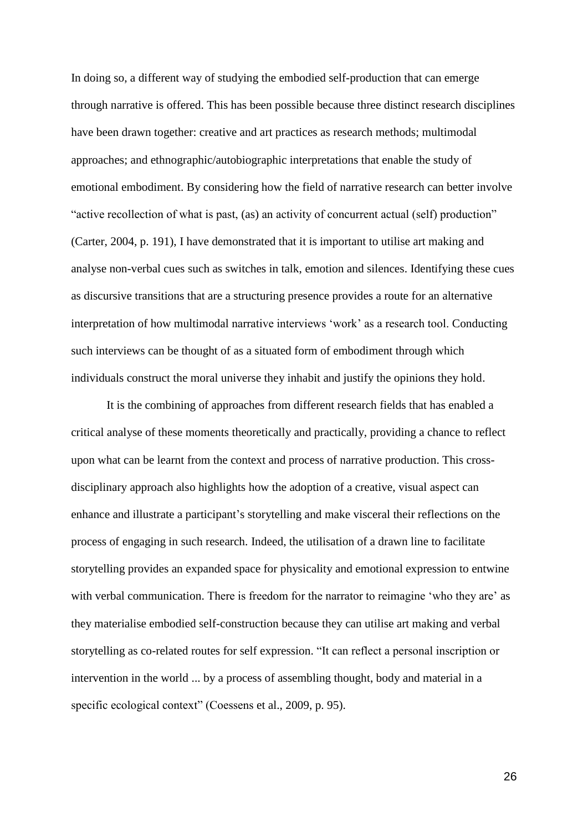In doing so, a different way of studying the embodied self-production that can emerge through narrative is offered. This has been possible because three distinct research disciplines have been drawn together: creative and art practices as research methods; multimodal approaches; and ethnographic/autobiographic interpretations that enable the study of emotional embodiment. By considering how the field of narrative research can better involve "active recollection of what is past, (as) an activity of concurrent actual (self) production" (Carter, 2004, p. 191), I have demonstrated that it is important to utilise art making and analyse non-verbal cues such as switches in talk, emotion and silences. Identifying these cues as discursive transitions that are a structuring presence provides a route for an alternative interpretation of how multimodal narrative interviews 'work' as a research tool. Conducting such interviews can be thought of as a situated form of embodiment through which individuals construct the moral universe they inhabit and justify the opinions they hold.

It is the combining of approaches from different research fields that has enabled a critical analyse of these moments theoretically and practically, providing a chance to reflect upon what can be learnt from the context and process of narrative production. This crossdisciplinary approach also highlights how the adoption of a creative, visual aspect can enhance and illustrate a participant's storytelling and make visceral their reflections on the process of engaging in such research. Indeed, the utilisation of a drawn line to facilitate storytelling provides an expanded space for physicality and emotional expression to entwine with verbal communication. There is freedom for the narrator to reimagine 'who they are' as they materialise embodied self-construction because they can utilise art making and verbal storytelling as co-related routes for self expression. "It can reflect a personal inscription or intervention in the world ... by a process of assembling thought, body and material in a specific ecological context" (Coessens et al., 2009, p. 95).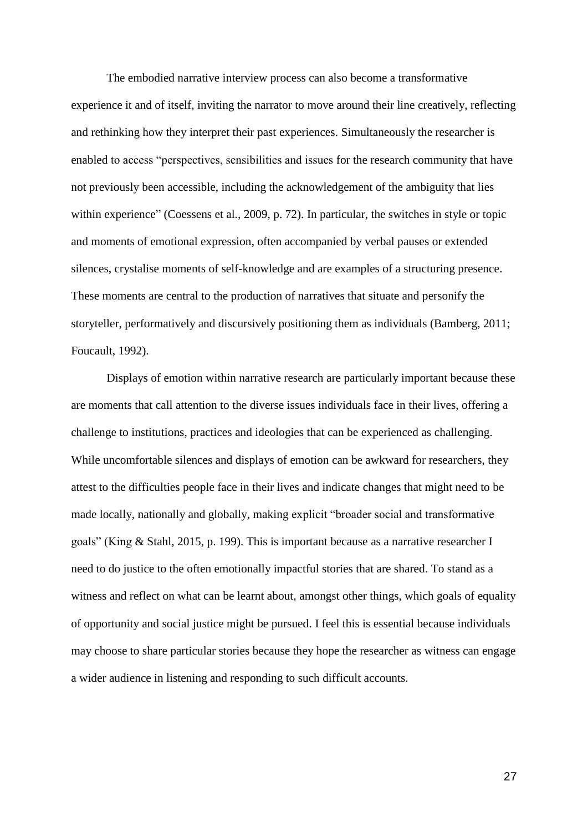The embodied narrative interview process can also become a transformative experience it and of itself, inviting the narrator to move around their line creatively, reflecting and rethinking how they interpret their past experiences. Simultaneously the researcher is enabled to access "perspectives, sensibilities and issues for the research community that have not previously been accessible, including the acknowledgement of the ambiguity that lies within experience" (Coessens et al., 2009, p. 72). In particular, the switches in style or topic and moments of emotional expression, often accompanied by verbal pauses or extended silences, crystalise moments of self-knowledge and are examples of a structuring presence. These moments are central to the production of narratives that situate and personify the storyteller, performatively and discursively positioning them as individuals (Bamberg, 2011; Foucault, 1992).

Displays of emotion within narrative research are particularly important because these are moments that call attention to the diverse issues individuals face in their lives, offering a challenge to institutions, practices and ideologies that can be experienced as challenging. While uncomfortable silences and displays of emotion can be awkward for researchers, they attest to the difficulties people face in their lives and indicate changes that might need to be made locally, nationally and globally, making explicit "broader social and transformative goals" (King & Stahl, 2015, p. 199). This is important because as a narrative researcher I need to do justice to the often emotionally impactful stories that are shared. To stand as a witness and reflect on what can be learnt about, amongst other things, which goals of equality of opportunity and social justice might be pursued. I feel this is essential because individuals may choose to share particular stories because they hope the researcher as witness can engage a wider audience in listening and responding to such difficult accounts.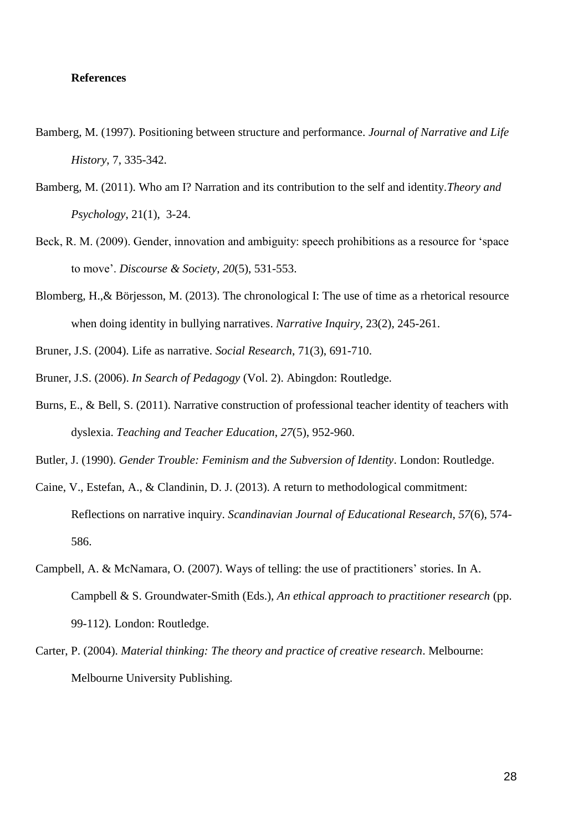### **References**

- Bamberg, M. (1997). Positioning between structure and performance. *Journal of Narrative and Life History*, 7, 335-342.
- Bamberg, M. (2011). Who am I? Narration and its contribution to the self and identity.*Theory and Psychology*, 21(1), 3-24.
- Beck, R. M. (2009). Gender, innovation and ambiguity: speech prohibitions as a resource for 'space to move'. *Discourse & Society*, *20*(5), 531-553.
- Blomberg, H.,& Börjesson, M. (2013). The chronological I: The use of time as a rhetorical resource when doing identity in bullying narratives. *Narrative Inquiry*, 23(2), 245-261.
- Bruner, J.S. (2004). Life as narrative. *Social Research*, 71(3), 691-710.
- Bruner, J.S. (2006). *In Search of Pedagogy* (Vol. 2). Abingdon: Routledge.
- Burns, E., & Bell, S. (2011). Narrative construction of professional teacher identity of teachers with dyslexia. *Teaching and Teacher Education*, *27*(5), 952-960.
- Butler, J. (1990). *Gender Trouble: Feminism and the Subversion of Identity*. London: Routledge.
- Caine, V., Estefan, A., & Clandinin, D. J. (2013). A return to methodological commitment: Reflections on narrative inquiry. *Scandinavian Journal of Educational Research*, *57*(6), 574- 586.
- Campbell, A. & McNamara, O. (2007). Ways of telling: the use of practitioners' stories. In A. Campbell & S. Groundwater-Smith (Eds.), *An ethical approach to practitioner research* (pp. 99-112)*.* London: Routledge.
- Carter, P. (2004). *Material thinking: The theory and practice of creative research*. Melbourne: Melbourne University Publishing.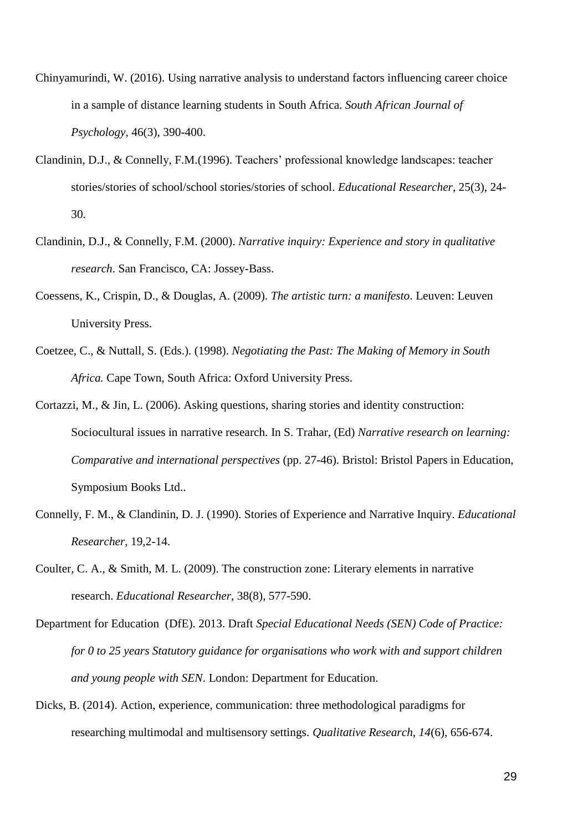- Chinyamurindi, W. (2016). Using narrative analysis to understand factors [influencing](http://web.b.ebscohost.com/ehost/viewarticle/render?data=dGJyMPPp44rp2%2fdV0%2bnjisfk5Ie46bBQta%2b0S7Ok63nn5Kx95uXxjL6nrkewqq1Krqe0OLawr024p7M4v8OkjPDX7Ivf2fKB7eTnfLunsk%2b1qbdMtKe3PurX7H%2b72%2bw%2b4ti7ee7epIzf3btZzJzfhrunr0%2bxp69Jsq6kfu3o63nys%2bSN6uLyffbq&vid=5&sid=6b2364a0-3cbd-4608-913b-543fb1148dee@sessionmgr2) career choice in a sample of distance [learning](http://web.b.ebscohost.com/ehost/viewarticle/render?data=dGJyMPPp44rp2%2fdV0%2bnjisfk5Ie46bBQta%2b0S7Ok63nn5Kx95uXxjL6nrkewqq1Krqe0OLawr024p7M4v8OkjPDX7Ivf2fKB7eTnfLunsk%2b1qbdMtKe3PurX7H%2b72%2bw%2b4ti7ee7epIzf3btZzJzfhrunr0%2bxp69Jsq6kfu3o63nys%2bSN6uLyffbq&vid=5&sid=6b2364a0-3cbd-4608-913b-543fb1148dee@sessionmgr2) students in South Africa. *South African Journal of Psychology*, 46(3), 390-400.
- Clandinin, D.J., & Connelly, F.M.(1996). Teachers' professional knowledge landscapes: teacher stories/stories of school/school stories/stories of school. *Educational Researcher*, 25(3), 24- 30.
- Clandinin, D.J., & Connelly, F.M. (2000). *Narrative inquiry: Experience and story in qualitative research*. San Francisco, CA: Jossey-Bass.
- Coessens, K., Crispin, D., & Douglas, A. (2009). *The artistic turn: a manifesto*. Leuven: Leuven University Press.
- Coetzee, C., & Nuttall, S. (Eds.). (1998). *Negotiating the Past: The Making of Memory in South Africa.* Cape Town, South Africa: Oxford University Press.
- Cortazzi, M., & Jin, L. (2006). Asking questions, sharing stories and identity construction: Sociocultural issues in narrative research. In S. Trahar, (Ed) *Narrative research on learning: Comparative and international perspectives* (pp. 27-46). Bristol: Bristol Papers in Education, Symposium Books Ltd..
- Connelly, F. M., & Clandinin, D. J. (1990). Stories of Experience and Narrative Inquiry. *Educational Researcher*, 19,2-14.
- Coulter, C. A., & Smith, M. L. (2009). The construction zone: Literary elements in narrative research. *Educational Researcher*, 38(8), 577-590.
- Department for Education (DfE). 2013. Draft *Special Educational Needs (SEN) Code of Practice: for 0 to 25 years Statutory guidance for organisations who work with and support children and young people with SEN*. London: Department for Education.
- Dicks, B. (2014). Action, experience, communication: three methodological paradigms for researching multimodal and multisensory settings. *Qualitative Research*, *14*(6), 656-674.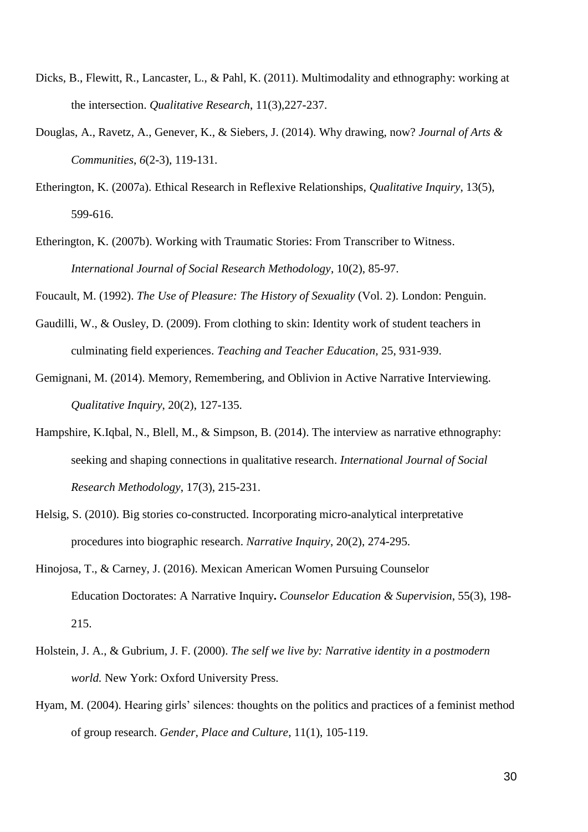- Dicks, B., Flewitt, R., Lancaster, L., & Pahl, K. (2011). Multimodality and ethnography: working at the intersection. *Qualitative Research*, 11(3),227-237.
- Douglas, A., Ravetz, A., Genever, K., & Siebers, J. (2014). Why drawing, now? *Journal of Arts & Communities*, *6*(2-3), 119-131.
- Etherington, K. (2007a). Ethical Research in Reflexive Relationships, *Qualitative Inquiry*, 13(5), 599-616.
- Etherington, K. (2007b). Working with Traumatic Stories: From Transcriber to Witness. *International Journal of Social Research Methodology*, 10(2), 85-97.

Foucault, M. (1992). *The Use of Pleasure: The History of Sexuality* (Vol. 2). London: Penguin.

- Gaudilli, W., & Ousley, D. (2009). From clothing to skin: Identity work of student teachers in culminating field experiences. *Teaching and Teacher Education,* 25, 931-939.
- Gemignani, M. (2014). Memory, Remembering, and Oblivion in Active Narrative Interviewing. *Qualitative Inquiry*, 20(2), 127-135.
- Hampshire, K.Iqbal, N., Blell, M., & Simpson, B. (2014). The interview as narrative ethnography: seeking and shaping connections in qualitative research. *International Journal of Social Research Methodology*, 17(3), 215-231.
- Helsig, S. (2010). Big stories co-constructed. Incorporating micro-analytical interpretative procedures into biographic research. *Narrative Inquiry*, 20(2), 274-295.
- Hinojosa, T., & Carney, J. (2016). Mexican American Women Pursuing Counselor Education Doctorates: A Narrative Inquiry**.** *Counselor Education & [Supervision](javascript:__doLinkPostBack()*, 55(3), 198- 215.
- Holstein, J. A., & Gubrium, J. F. (2000). *The self we live by: Narrative identity in a postmodern world.* New York: Oxford University Press.
- Hyam, M. (2004). Hearing girls' silences: thoughts on the politics and practices of a feminist method of group research. *Gender, Place and Culture*, 11(1), 105-119.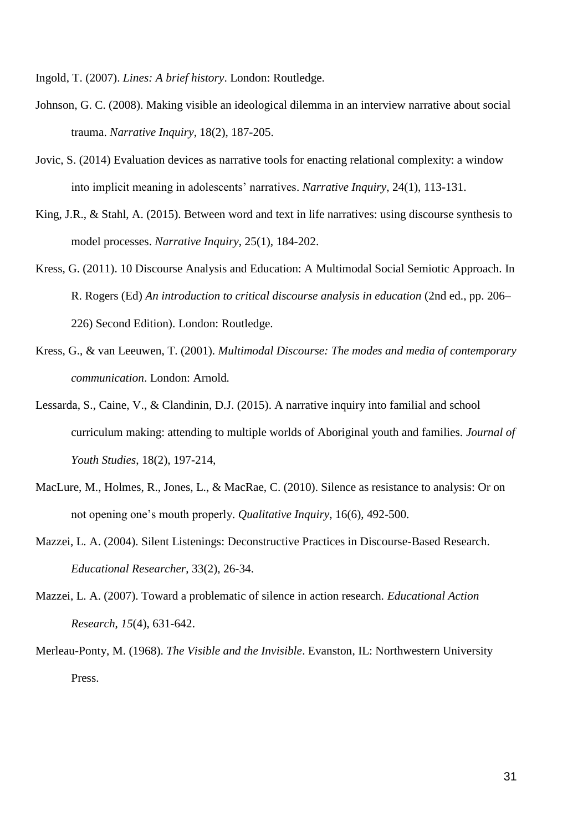Ingold, T. (2007). *Lines: A brief history*. London: Routledge.

- Johnson, G. C. (2008). Making visible an ideological dilemma in an interview narrative about social trauma. *Narrative Inquiry*, 18(2), 187-205.
- Jovic, S. (2014) Evaluation devices as narrative tools for enacting relational complexity: a window into implicit meaning in adolescents' narratives. *Narrative Inquiry*, 24(1), 113-131.
- King, J.R., & Stahl, A. (2015). Between word and text in life narratives: using discourse synthesis to model processes. *Narrative Inquiry*, 25(1), 184-202.
- Kress, G. (2011). 10 Discourse Analysis and Education: A Multimodal Social Semiotic Approach. In R. Rogers (Ed) *An introduction to critical discourse analysis in education* (2nd ed., pp. 206– 226) Second Edition). London: Routledge.
- Kress, G., & van Leeuwen, T. (2001). *Multimodal Discourse: The modes and media of contemporary communication*. London: Arnold*.*
- Lessarda, S., Caine, V., & Clandinin, D.J. (2015). A narrative inquiry into familial and school curriculum making: attending to multiple worlds of Aboriginal youth and families. *Journal of Youth Studies*, 18(2), 197-214,
- MacLure, M., Holmes, R., Jones, L., & MacRae, C. (2010). Silence as resistance to analysis: Or on not opening one's mouth properly. *Qualitative Inquiry*, 16(6), 492-500.
- Mazzei, L. A. (2004). Silent Listenings: Deconstructive Practices in Discourse-Based Research. *Educational Researcher*, 33(2), 26-34.
- Mazzei, L. A. (2007). Toward a problematic of silence in action research. *Educational Action Research*, *15*(4), 631-642.
- Merleau-Ponty, M. (1968). *The Visible and the Invisible*. Evanston, IL: Northwestern University Press.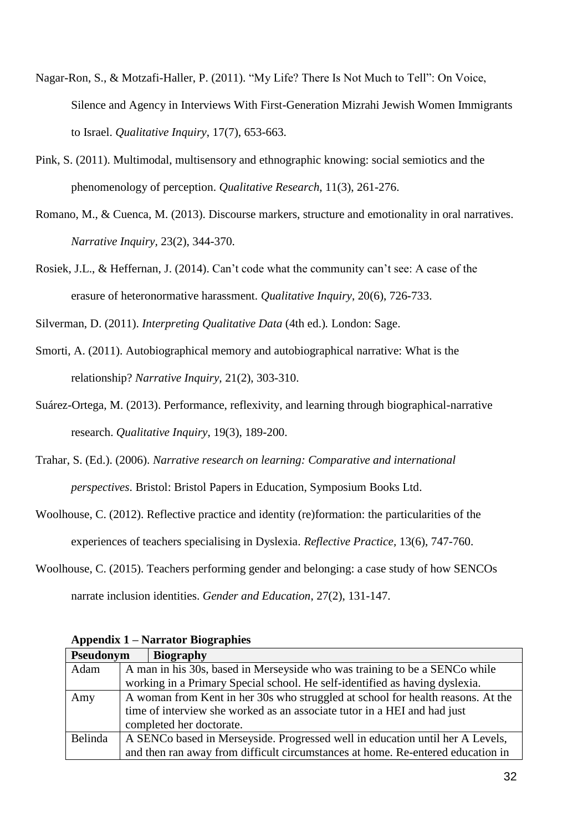- Nagar-Ron, S., & Motzafi-Haller, P. (2011). "My Life? There Is Not Much to Tell": On Voice, Silence and Agency in Interviews With First-Generation Mizrahi Jewish Women Immigrants to Israel. *Qualitative Inquiry*, 17(7), 653-663.
- Pink, S. (2011). Multimodal, multisensory and ethnographic knowing: social semiotics and the phenomenology of perception. *Qualitative Research*, 11(3), 261-276.
- Romano, M., & Cuenca, M. (2013). Discourse markers, structure and emotionality in oral narratives. *Narrative Inquiry,* 23(2), 344-370.
- Rosiek, J.L., & Heffernan, J. (2014). Can't code what the community can't see: A case of the erasure of heteronormative harassment. *Qualitative Inquiry*, 20(6), 726-733.

Silverman, D. (2011). *Interpreting Qualitative Data* (4th ed.)*.* London: Sage.

- Smorti, A. (2011). Autobiographical memory and autobiographical narrative: What is the relationship? *Narrative Inquiry,* 21(2), 303-310.
- Suárez-Ortega, M. (2013). Performance, reflexivity, and learning through biographical-narrative research. *Qualitative Inquiry*, 19(3), 189-200.
- Trahar, S. (Ed.). (2006). *Narrative research on learning: Comparative and international perspectives*. Bristol: Bristol Papers in Education, Symposium Books Ltd.
- Woolhouse, C. (2012). Reflective practice and identity (re)formation: the particularities of the experiences of teachers specialising in Dyslexia. *Reflective Practice,* 13(6), 747-760.
- Woolhouse, C. (2015). Teachers performing gender and belonging: a case study of how SENCOs narrate inclusion identities. *Gender and Education*, 27(2), 131-147.

| Pseudonym | <b>Biography</b>                                                                |
|-----------|---------------------------------------------------------------------------------|
| Adam      | A man in his 30s, based in Merseyside who was training to be a SENCo while      |
|           | working in a Primary Special school. He self-identified as having dyslexia.     |
| Amy       | A woman from Kent in her 30s who struggled at school for health reasons. At the |
|           | time of interview she worked as an associate tutor in a HEI and had just        |
|           | completed her doctorate.                                                        |
| Belinda   | A SENCo based in Merseyside. Progressed well in education until her A Levels,   |
|           | and then ran away from difficult circumstances at home. Re-entered education in |

**Appendix 1 – Narrator Biographies**